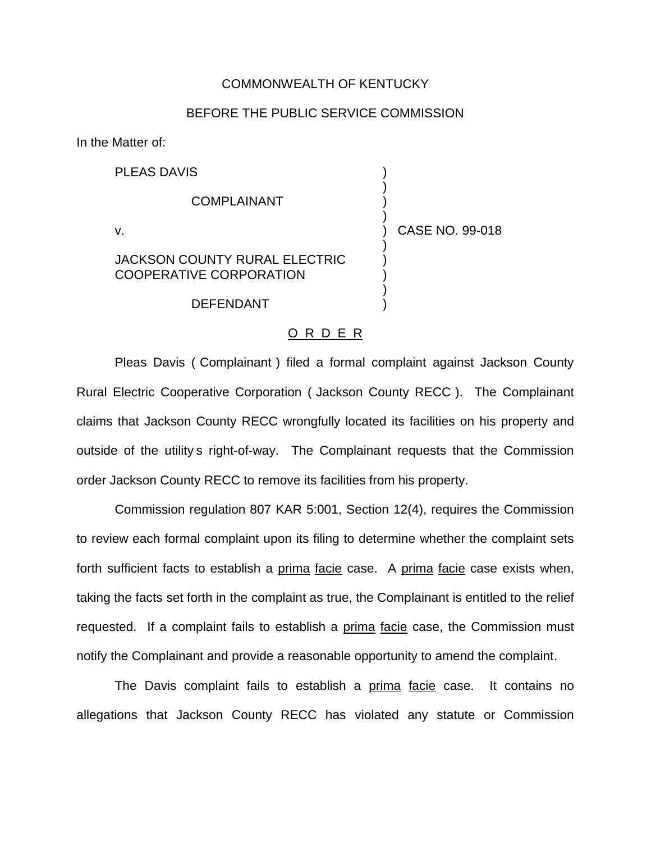## COMMONWEALTH OF KENTUCKY

## BEFORE THE PUBLIC SERVICE COMMISSION

)

)

)

)

In the Matter of:

PLEAS DAVIS )

**COMPLAINANT** 

v. ) CASE NO. 99-018

## JACKSON COUNTY RURAL ELECTRIC COOPERATIVE CORPORATION

**DEFENDANT** 

## O R D E R

Pleas Davis ( Complainant ) filed a formal complaint against Jackson County Rural Electric Cooperative Corporation ( Jackson County RECC ). The Complainant claims that Jackson County RECC wrongfully located its facilities on his property and outside of the utility s right-of-way. The Complainant requests that the Commission order Jackson County RECC to remove its facilities from his property.

Commission regulation 807 KAR 5:001, Section 12(4), requires the Commission to review each formal complaint upon its filing to determine whether the complaint sets forth sufficient facts to establish a prima facie case. A prima facie case exists when, taking the facts set forth in the complaint as true, the Complainant is entitled to the relief requested. If a complaint fails to establish a prima facie case, the Commission must notify the Complainant and provide a reasonable opportunity to amend the complaint.

The Davis complaint fails to establish a prima facie case. It contains no allegations that Jackson County RECC has violated any statute or Commission